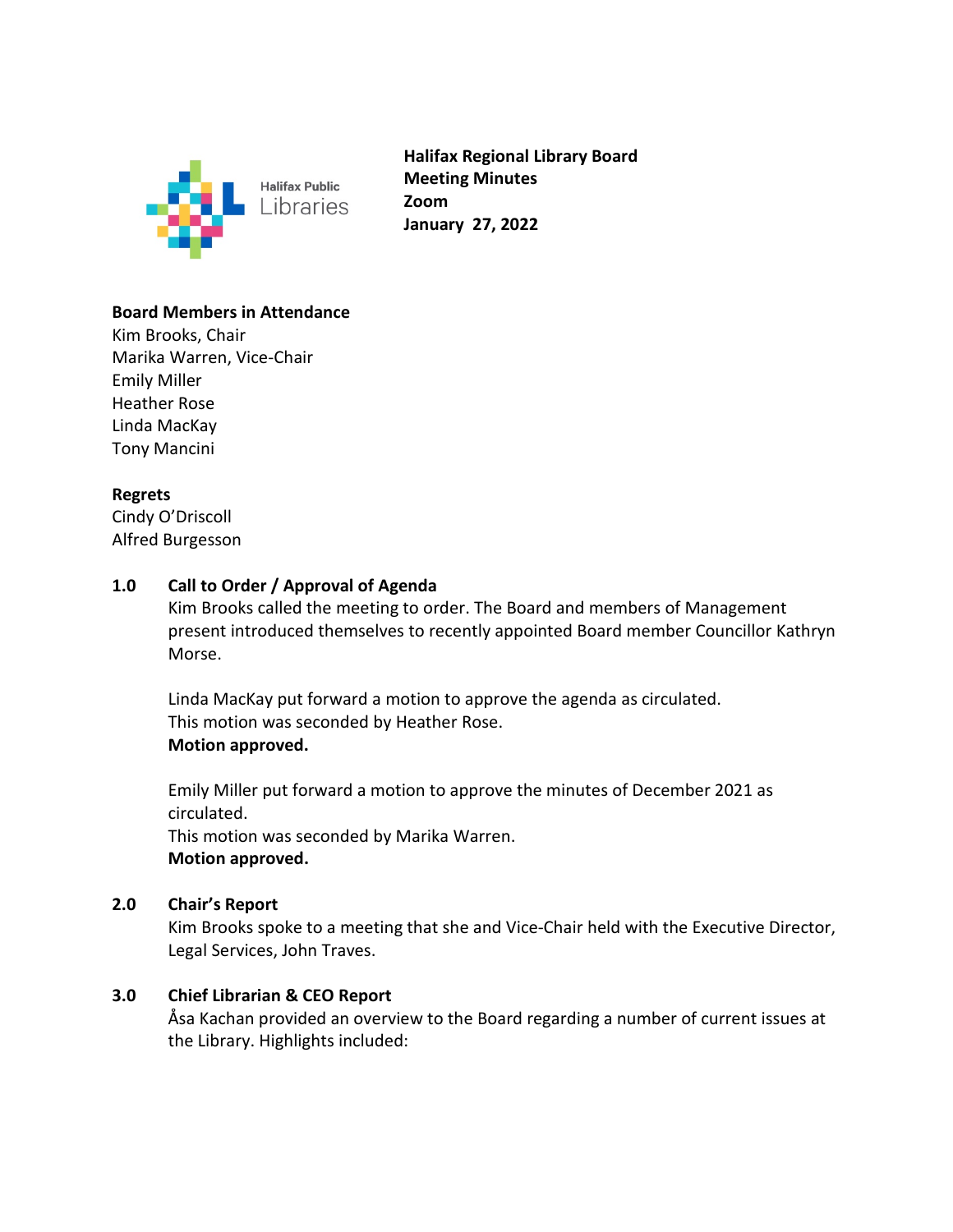

**Halifax Regional Library Board Meeting Minutes Zoom January 27, 2022**

## **Board Members in Attendance**

Kim Brooks, Chair Marika Warren, Vice-Chair Emily Miller Heather Rose Linda MacKay Tony Mancini

## **Regrets**

Cindy O'Driscoll Alfred Burgesson

# **1.0 Call to Order / Approval of Agenda**

Kim Brooks called the meeting to order. The Board and members of Management present introduced themselves to recently appointed Board member Councillor Kathryn Morse.

Linda MacKay put forward a motion to approve the agenda as circulated. This motion was seconded by Heather Rose. **Motion approved.** 

Emily Miller put forward a motion to approve the minutes of December 2021 as circulated.

This motion was seconded by Marika Warren. **Motion approved.** 

#### **2.0 Chair's Report**

Kim Brooks spoke to a meeting that she and Vice-Chair held with the Executive Director, Legal Services, John Traves.

# **3.0 Chief Librarian & CEO Report**

Åsa Kachan provided an overview to the Board regarding a number of current issues at the Library. Highlights included: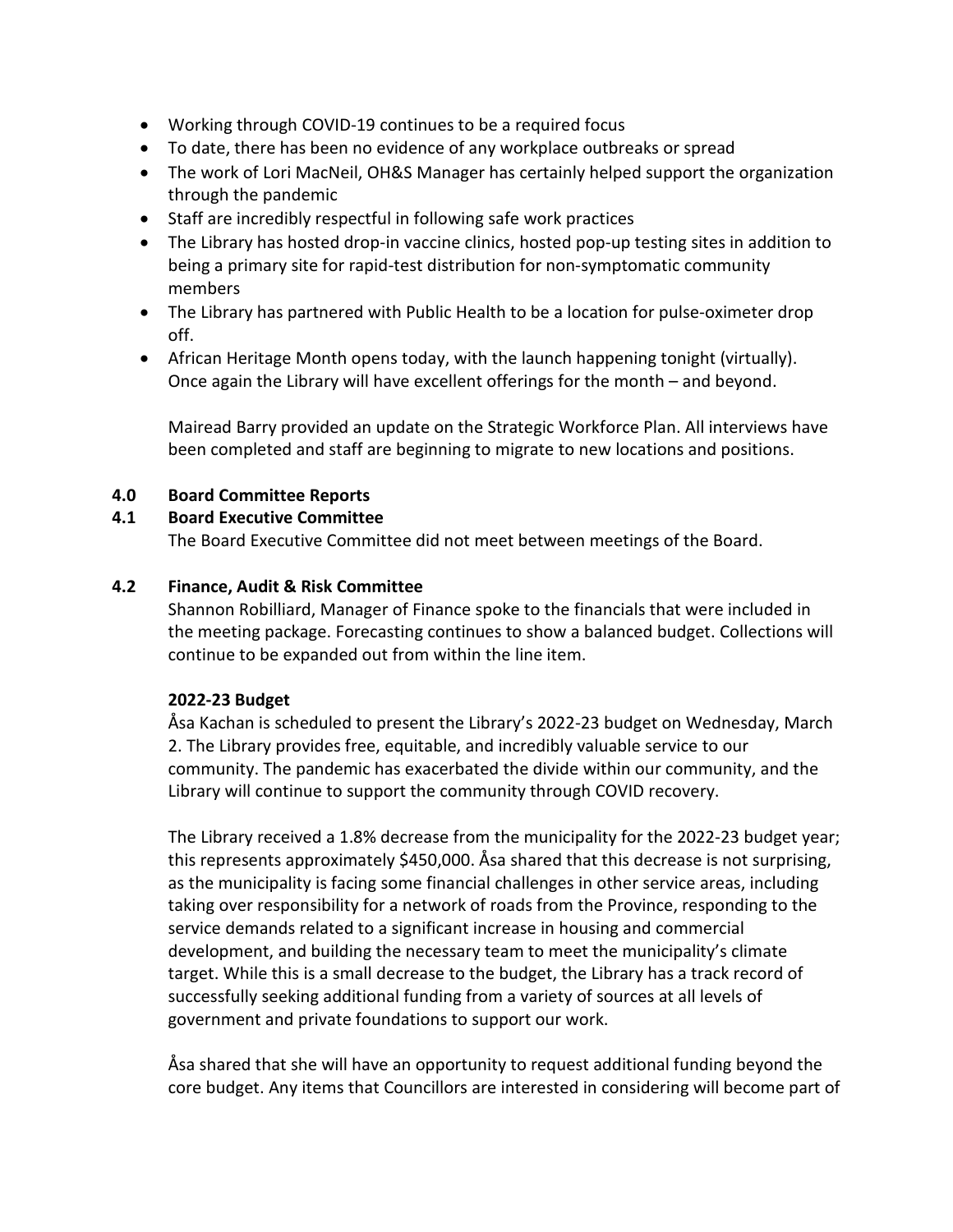- Working through COVID-19 continues to be a required focus
- To date, there has been no evidence of any workplace outbreaks or spread
- The work of Lori MacNeil, OH&S Manager has certainly helped support the organization through the pandemic
- Staff are incredibly respectful in following safe work practices
- The Library has hosted drop-in vaccine clinics, hosted pop-up testing sites in addition to being a primary site for rapid-test distribution for non-symptomatic community members
- The Library has partnered with Public Health to be a location for pulse-oximeter drop off.
- African Heritage Month opens today, with the launch happening tonight (virtually). Once again the Library will have excellent offerings for the month – and beyond.

Mairead Barry provided an update on the Strategic Workforce Plan. All interviews have been completed and staff are beginning to migrate to new locations and positions.

# **4.0 Board Committee Reports**

## **4.1 Board Executive Committee**

The Board Executive Committee did not meet between meetings of the Board.

## **4.2 Finance, Audit & Risk Committee**

Shannon Robilliard, Manager of Finance spoke to the financials that were included in the meeting package. Forecasting continues to show a balanced budget. Collections will continue to be expanded out from within the line item.

#### **2022-23 Budget**

Åsa Kachan is scheduled to present the Library's 2022-23 budget on Wednesday, March 2. The Library provides free, equitable, and incredibly valuable service to our community. The pandemic has exacerbated the divide within our community, and the Library will continue to support the community through COVID recovery.

The Library received a 1.8% decrease from the municipality for the 2022-23 budget year; this represents approximately \$450,000. Åsa shared that this decrease is not surprising, as the municipality is facing some financial challenges in other service areas, including taking over responsibility for a network of roads from the Province, responding to the service demands related to a significant increase in housing and commercial development, and building the necessary team to meet the municipality's climate target. While this is a small decrease to the budget, the Library has a track record of successfully seeking additional funding from a variety of sources at all levels of government and private foundations to support our work.

Åsa shared that she will have an opportunity to request additional funding beyond the core budget. Any items that Councillors are interested in considering will become part of